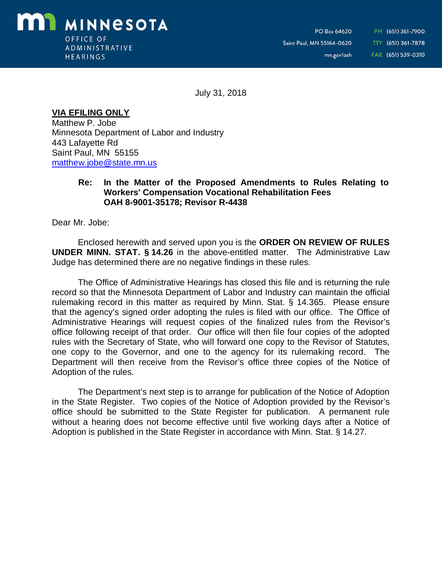

July 31, 2018

# **VIA EFILING ONLY**

Matthew P. Jobe Minnesota Department of Labor and Industry 443 Lafayette Rd Saint Paul, MN 55155 [matthew.jobe@state.mn.us](mailto:matthew.jobe@state.mn.us)

## **Re: In the Matter of the Proposed Amendments to Rules Relating to Workers' Compensation Vocational Rehabilitation Fees OAH 8-9001-35178; Revisor R-4438**

Dear Mr. Jobe:

Enclosed herewith and served upon you is the **ORDER ON REVIEW OF RULES UNDER MINN. STAT. § 14.26** in the above-entitled matter. The Administrative Law Judge has determined there are no negative findings in these rules.

The Office of Administrative Hearings has closed this file and is returning the rule record so that the Minnesota Department of Labor and Industry can maintain the official rulemaking record in this matter as required by Minn. Stat. § 14.365. Please ensure that the agency's signed order adopting the rules is filed with our office. The Office of Administrative Hearings will request copies of the finalized rules from the Revisor's office following receipt of that order. Our office will then file four copies of the adopted rules with the Secretary of State, who will forward one copy to the Revisor of Statutes, one copy to the Governor, and one to the agency for its rulemaking record. The Department will then receive from the Revisor's office three copies of the Notice of Adoption of the rules.

The Department's next step is to arrange for publication of the Notice of Adoption in the State Register. Two copies of the Notice of Adoption provided by the Revisor's office should be submitted to the State Register for publication. A permanent rule without a hearing does not become effective until five working days after a Notice of Adoption is published in the State Register in accordance with Minn. Stat. § 14.27.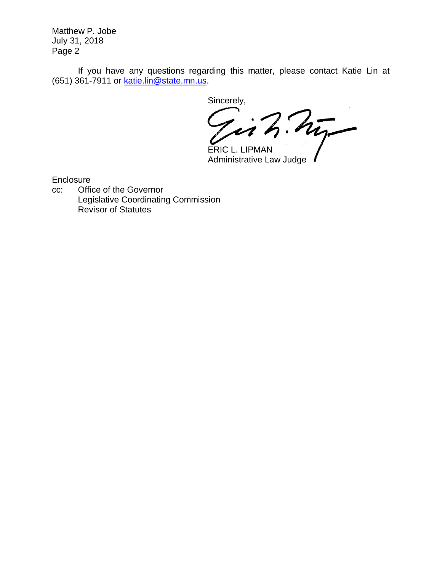Matthew P. Jobe July 31, 2018 Page 2

If you have any questions regarding this matter, please contact Katie Lin at (651) 361-7911 or **[katie.lin@state.mn.us.](mailto:katie.lin@state.mn.us.)** 

Sincerely,

Girl R. My

Administrative Law Judge

**Enclosure** 

cc: Office of the Governor Legislative Coordinating Commission Revisor of Statutes